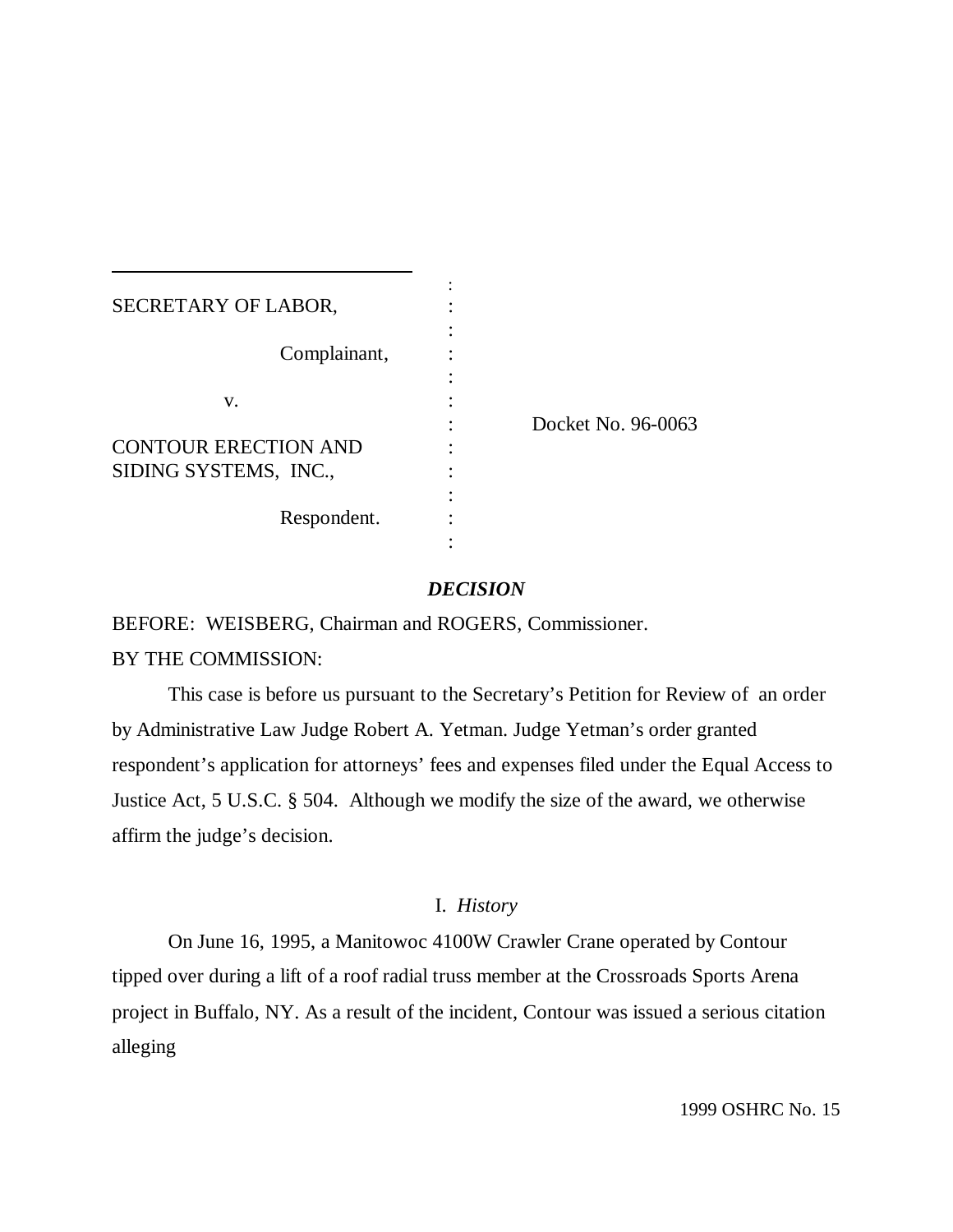| SECRETARY OF LABOR,         |                    |
|-----------------------------|--------------------|
|                             |                    |
| Complainant,                |                    |
|                             |                    |
| V.                          |                    |
|                             | Docket No. 96-0063 |
| <b>CONTOUR ERECTION AND</b> |                    |
| SIDING SYSTEMS, INC.,       |                    |
|                             |                    |
| Respondent.                 |                    |
|                             |                    |

### *DECISION*

BEFORE: WEISBERG, Chairman and ROGERS, Commissioner.

# BY THE COMMISSION:

l

This case is before us pursuant to the Secretary's Petition for Review of an order by Administrative Law Judge Robert A. Yetman. Judge Yetman's order granted respondent's application for attorneys' fees and expenses filed under the Equal Access to Justice Act, 5 U.S.C. § 504. Although we modify the size of the award, we otherwise affirm the judge's decision.

# I. *History*

On June 16, 1995, a Manitowoc 4100W Crawler Crane operated by Contour tipped over during a lift of a roof radial truss member at the Crossroads Sports Arena project in Buffalo, NY. As a result of the incident, Contour was issued a serious citation alleging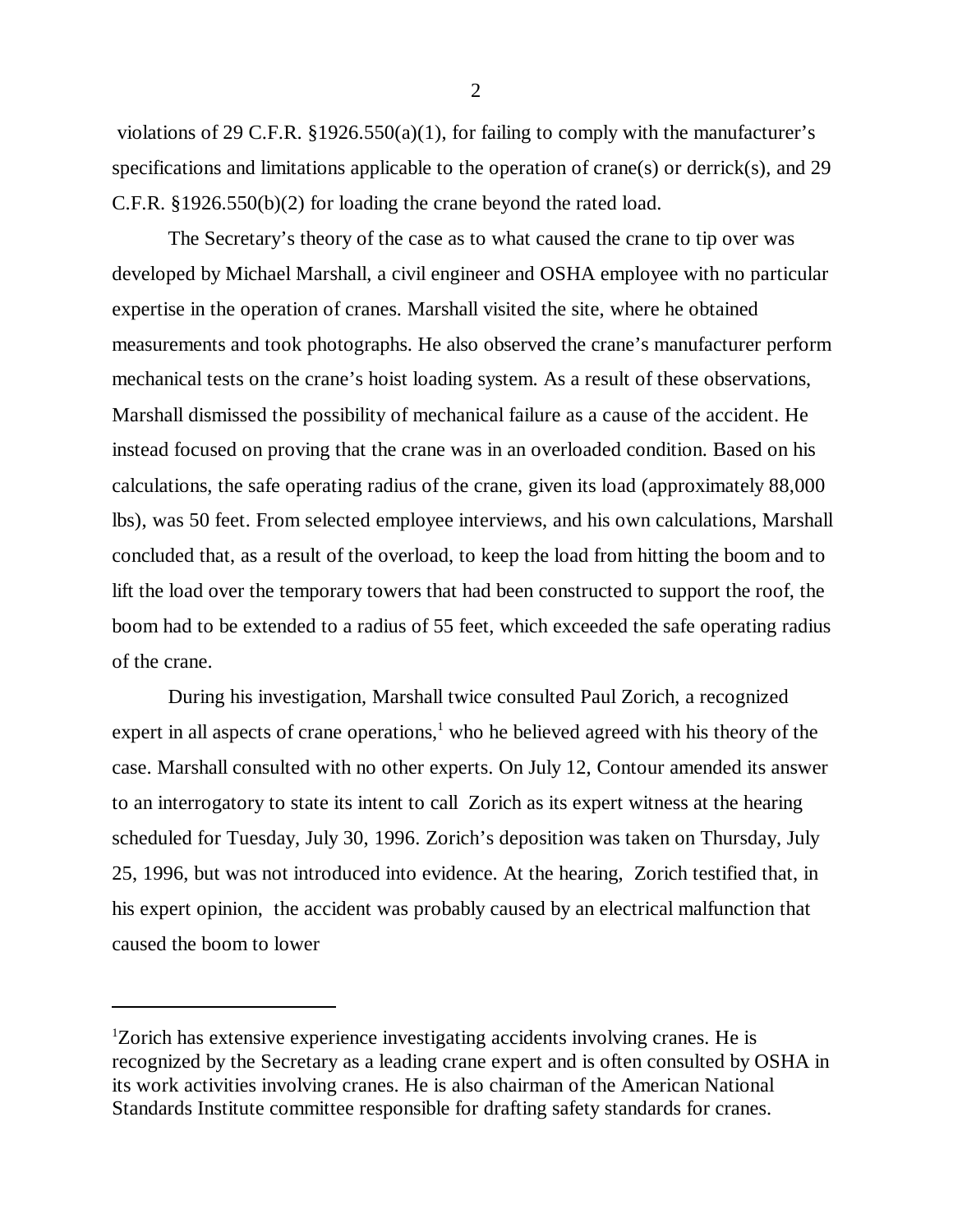violations of 29 C.F.R.  $\S 1926.550(a)(1)$ , for failing to comply with the manufacturer's specifications and limitations applicable to the operation of crane(s) or derrick(s), and 29 C.F.R. §1926.550(b)(2) for loading the crane beyond the rated load.

The Secretary's theory of the case as to what caused the crane to tip over was developed by Michael Marshall, a civil engineer and OSHA employee with no particular expertise in the operation of cranes. Marshall visited the site, where he obtained measurements and took photographs. He also observed the crane's manufacturer perform mechanical tests on the crane's hoist loading system. As a result of these observations, Marshall dismissed the possibility of mechanical failure as a cause of the accident. He instead focused on proving that the crane was in an overloaded condition. Based on his calculations, the safe operating radius of the crane, given its load (approximately 88,000 lbs), was 50 feet. From selected employee interviews, and his own calculations, Marshall concluded that, as a result of the overload, to keep the load from hitting the boom and to lift the load over the temporary towers that had been constructed to support the roof, the boom had to be extended to a radius of 55 feet, which exceeded the safe operating radius of the crane.

During his investigation, Marshall twice consulted Paul Zorich, a recognized expert in all aspects of crane operations,<sup>1</sup> who he believed agreed with his theory of the case. Marshall consulted with no other experts. On July 12, Contour amended its answer to an interrogatory to state its intent to call Zorich as its expert witness at the hearing scheduled for Tuesday, July 30, 1996. Zorich's deposition was taken on Thursday, July 25, 1996, but was not introduced into evidence. At the hearing, Zorich testified that, in his expert opinion, the accident was probably caused by an electrical malfunction that caused the boom to lower

2

 $1$ <sup>1</sup>Zorich has extensive experience investigating accidents involving cranes. He is recognized by the Secretary as a leading crane expert and is often consulted by OSHA in its work activities involving cranes. He is also chairman of the American National Standards Institute committee responsible for drafting safety standards for cranes.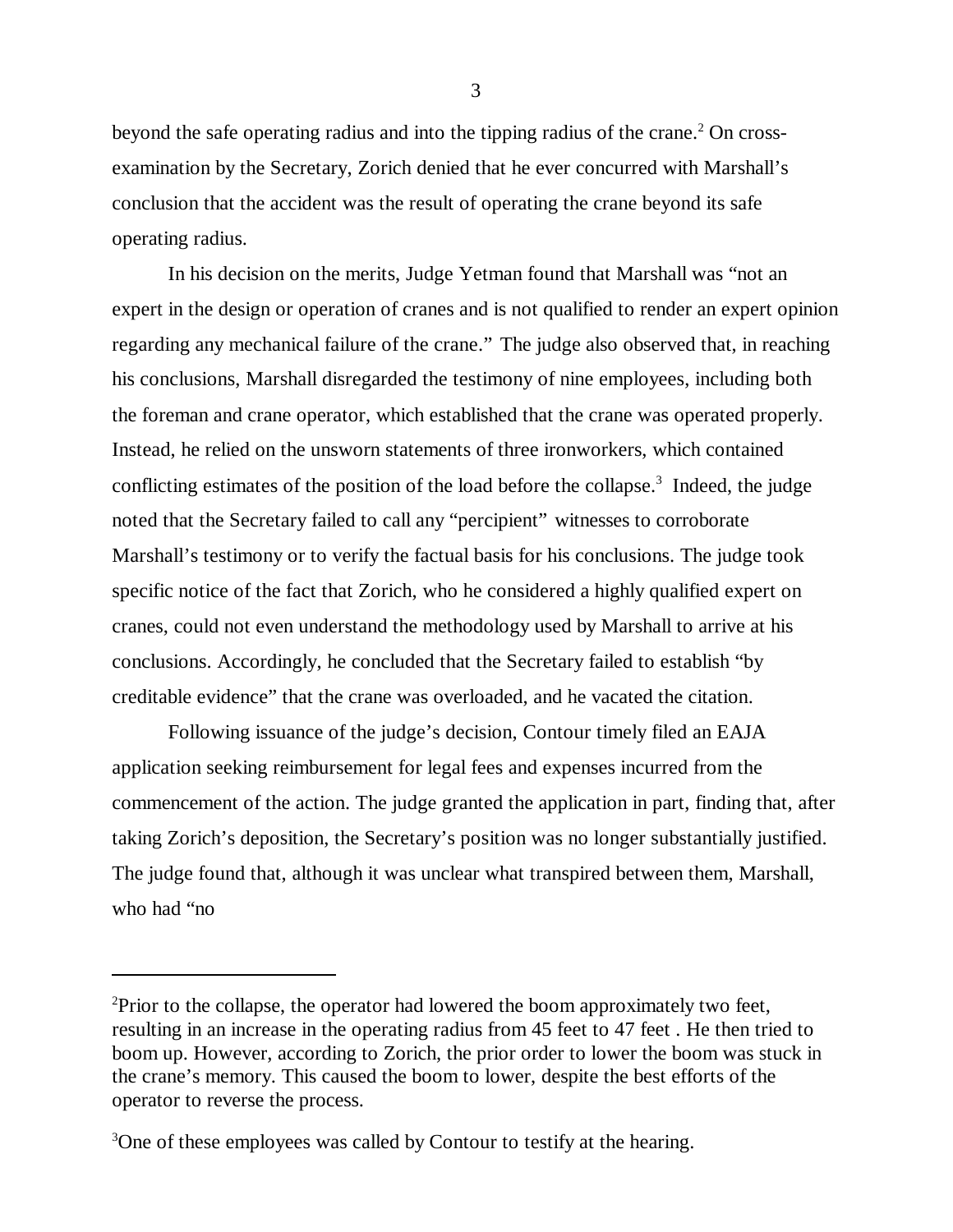beyond the safe operating radius and into the tipping radius of the crane.<sup>2</sup> On crossexamination by the Secretary, Zorich denied that he ever concurred with Marshall's conclusion that the accident was the result of operating the crane beyond its safe operating radius.

In his decision on the merits, Judge Yetman found that Marshall was "not an expert in the design or operation of cranes and is not qualified to render an expert opinion regarding any mechanical failure of the crane." The judge also observed that, in reaching his conclusions, Marshall disregarded the testimony of nine employees, including both the foreman and crane operator, which established that the crane was operated properly. Instead, he relied on the unsworn statements of three ironworkers, which contained conflicting estimates of the position of the load before the collapse.<sup>3</sup> Indeed, the judge noted that the Secretary failed to call any "percipient" witnesses to corroborate Marshall's testimony or to verify the factual basis for his conclusions. The judge took specific notice of the fact that Zorich, who he considered a highly qualified expert on cranes, could not even understand the methodology used by Marshall to arrive at his conclusions. Accordingly, he concluded that the Secretary failed to establish "by creditable evidence" that the crane was overloaded, and he vacated the citation.

Following issuance of the judge's decision, Contour timely filed an EAJA application seeking reimbursement for legal fees and expenses incurred from the commencement of the action. The judge granted the application in part, finding that, after taking Zorich's deposition, the Secretary's position was no longer substantially justified. The judge found that, although it was unclear what transpired between them, Marshall, who had "no

3

<sup>&</sup>lt;sup>2</sup>Prior to the collapse, the operator had lowered the boom approximately two feet, resulting in an increase in the operating radius from 45 feet to 47 feet . He then tried to boom up. However, according to Zorich, the prior order to lower the boom was stuck in the crane's memory. This caused the boom to lower, despite the best efforts of the operator to reverse the process.

<sup>&</sup>lt;sup>3</sup>One of these employees was called by Contour to testify at the hearing.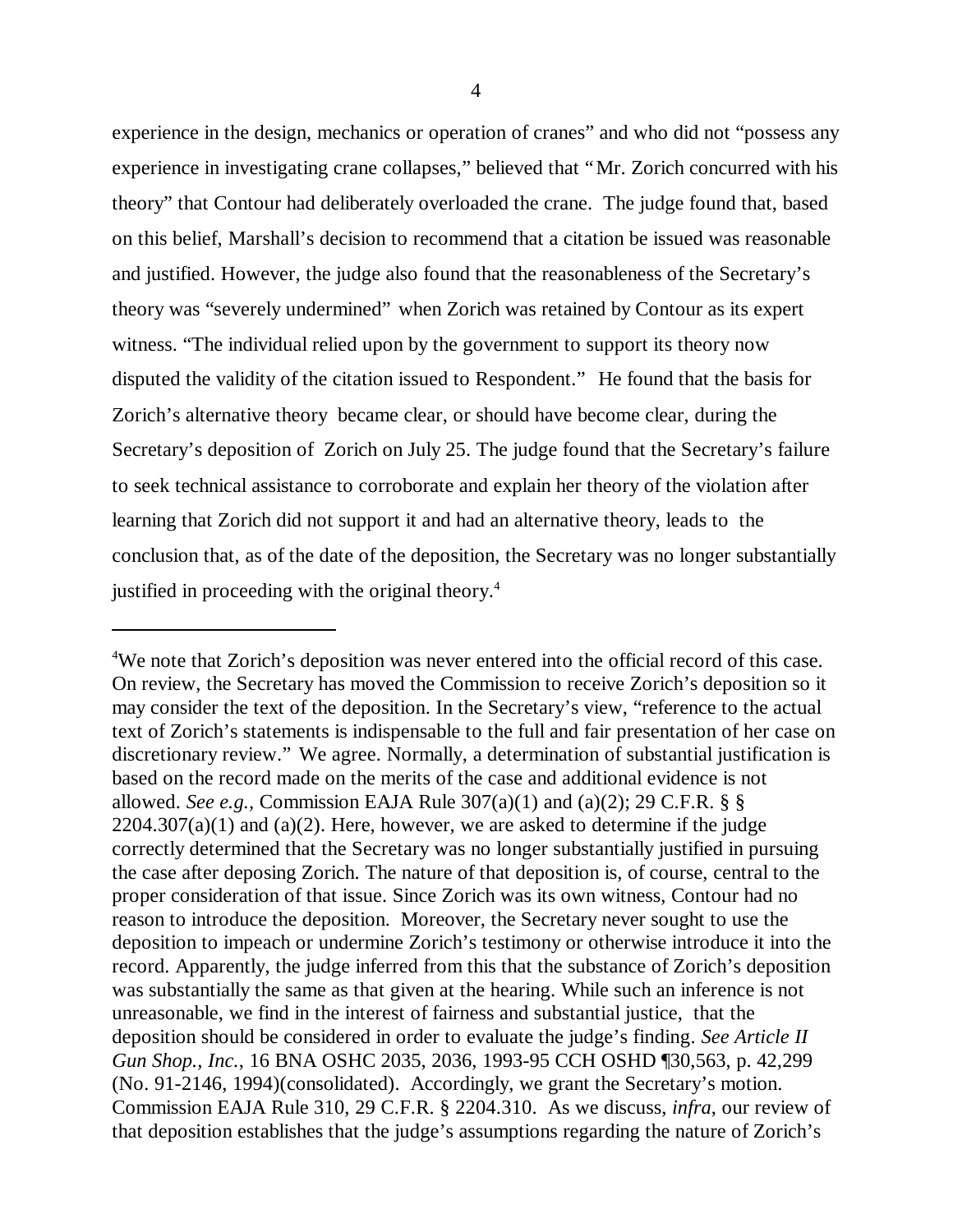experience in the design, mechanics or operation of cranes" and who did not "possess any experience in investigating crane collapses," believed that "Mr. Zorich concurred with his theory" that Contour had deliberately overloaded the crane. The judge found that, based on this belief, Marshall's decision to recommend that a citation be issued was reasonable and justified. However, the judge also found that the reasonableness of the Secretary's theory was "severely undermined" when Zorich was retained by Contour as its expert witness. "The individual relied upon by the government to support its theory now disputed the validity of the citation issued to Respondent." He found that the basis for Zorich's alternative theory became clear, or should have become clear, during the Secretary's deposition of Zorich on July 25. The judge found that the Secretary's failure to seek technical assistance to corroborate and explain her theory of the violation after learning that Zorich did not support it and had an alternative theory, leads to the conclusion that, as of the date of the deposition, the Secretary was no longer substantially justified in proceeding with the original theory.<sup>4</sup>

<sup>&</sup>lt;sup>4</sup>We note that Zorich's deposition was never entered into the official record of this case. On review, the Secretary has moved the Commission to receive Zorich's deposition so it may consider the text of the deposition. In the Secretary's view, "reference to the actual text of Zorich's statements is indispensable to the full and fair presentation of her case on discretionary review." We agree. Normally, a determination of substantial justification is based on the record made on the merits of the case and additional evidence is not allowed. *See e.g.,* Commission EAJA Rule 307(a)(1) and (a)(2); 29 C.F.R. § §  $2204.307(a)(1)$  and  $(a)(2)$ . Here, however, we are asked to determine if the judge correctly determined that the Secretary was no longer substantially justified in pursuing the case after deposing Zorich. The nature of that deposition is, of course, central to the proper consideration of that issue. Since Zorich was its own witness, Contour had no reason to introduce the deposition. Moreover, the Secretary never sought to use the deposition to impeach or undermine Zorich's testimony or otherwise introduce it into the record. Apparently, the judge inferred from this that the substance of Zorich's deposition was substantially the same as that given at the hearing. While such an inference is not unreasonable, we find in the interest of fairness and substantial justice, that the deposition should be considered in order to evaluate the judge's finding. *See Article II Gun Shop., Inc.*, 16 BNA OSHC 2035, 2036, 1993-95 CCH OSHD ¶30,563, p. 42,299 (No. 91-2146, 1994)(consolidated). Accordingly, we grant the Secretary's motion. Commission EAJA Rule 310, 29 C.F.R. § 2204.310. As we discuss, *infra*, our review of that deposition establishes that the judge's assumptions regarding the nature of Zorich's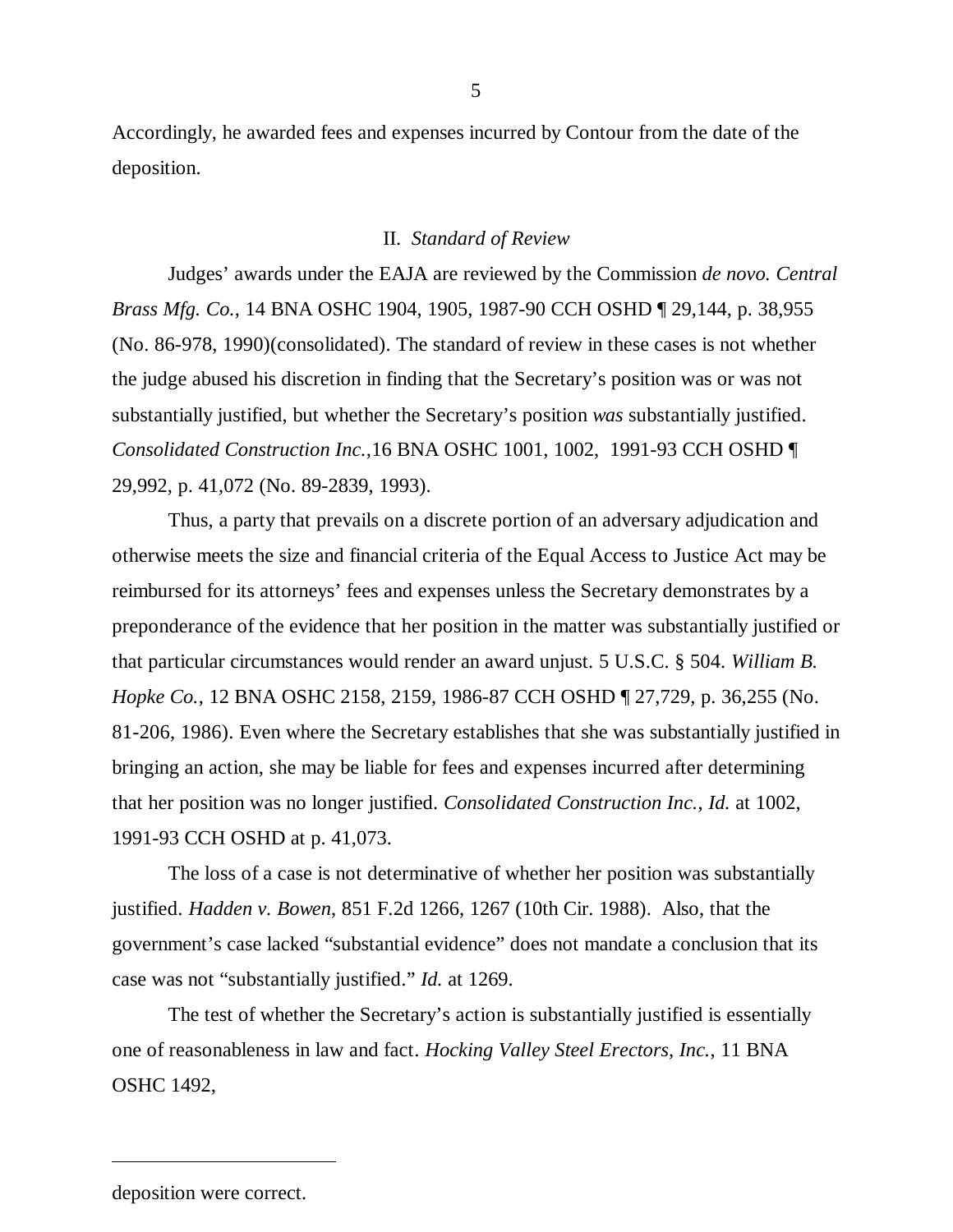Accordingly, he awarded fees and expenses incurred by Contour from the date of the deposition.

#### II. *Standard of Review*

Judges' awards under the EAJA are reviewed by the Commission *de novo. Central Brass Mfg. Co.*, 14 BNA OSHC 1904, 1905, 1987-90 CCH OSHD ¶ 29,144, p. 38,955 (No. 86-978, 1990)(consolidated). The standard of review in these cases is not whether the judge abused his discretion in finding that the Secretary's position was or was not substantially justified, but whether the Secretary's position *was* substantially justified. *Consolidated Construction Inc.,*16 BNA OSHC 1001, 1002, 1991-93 CCH OSHD ¶ 29,992, p. 41,072 (No. 89-2839, 1993).

Thus, a party that prevails on a discrete portion of an adversary adjudication and otherwise meets the size and financial criteria of the Equal Access to Justice Act may be reimbursed for its attorneys' fees and expenses unless the Secretary demonstrates by a preponderance of the evidence that her position in the matter was substantially justified or that particular circumstances would render an award unjust. 5 U.S.C. § 504. *William B. Hopke Co.*, 12 BNA OSHC 2158, 2159, 1986-87 CCH OSHD ¶ 27,729, p. 36,255 (No. 81-206, 1986). Even where the Secretary establishes that she was substantially justified in bringing an action, she may be liable for fees and expenses incurred after determining that her position was no longer justified. *Consolidated Construction Inc.*, *Id.* at 1002, 1991-93 CCH OSHD at p. 41,073.

The loss of a case is not determinative of whether her position was substantially justified. *Hadden v. Bowen*, 851 F.2d 1266, 1267 (10th Cir. 1988). Also, that the government's case lacked "substantial evidence" does not mandate a conclusion that its case was not "substantially justified." *Id.* at 1269.

The test of whether the Secretary's action is substantially justified is essentially one of reasonableness in law and fact. *Hocking Valley Steel Erectors, Inc.*, 11 BNA OSHC 1492,

deposition were correct.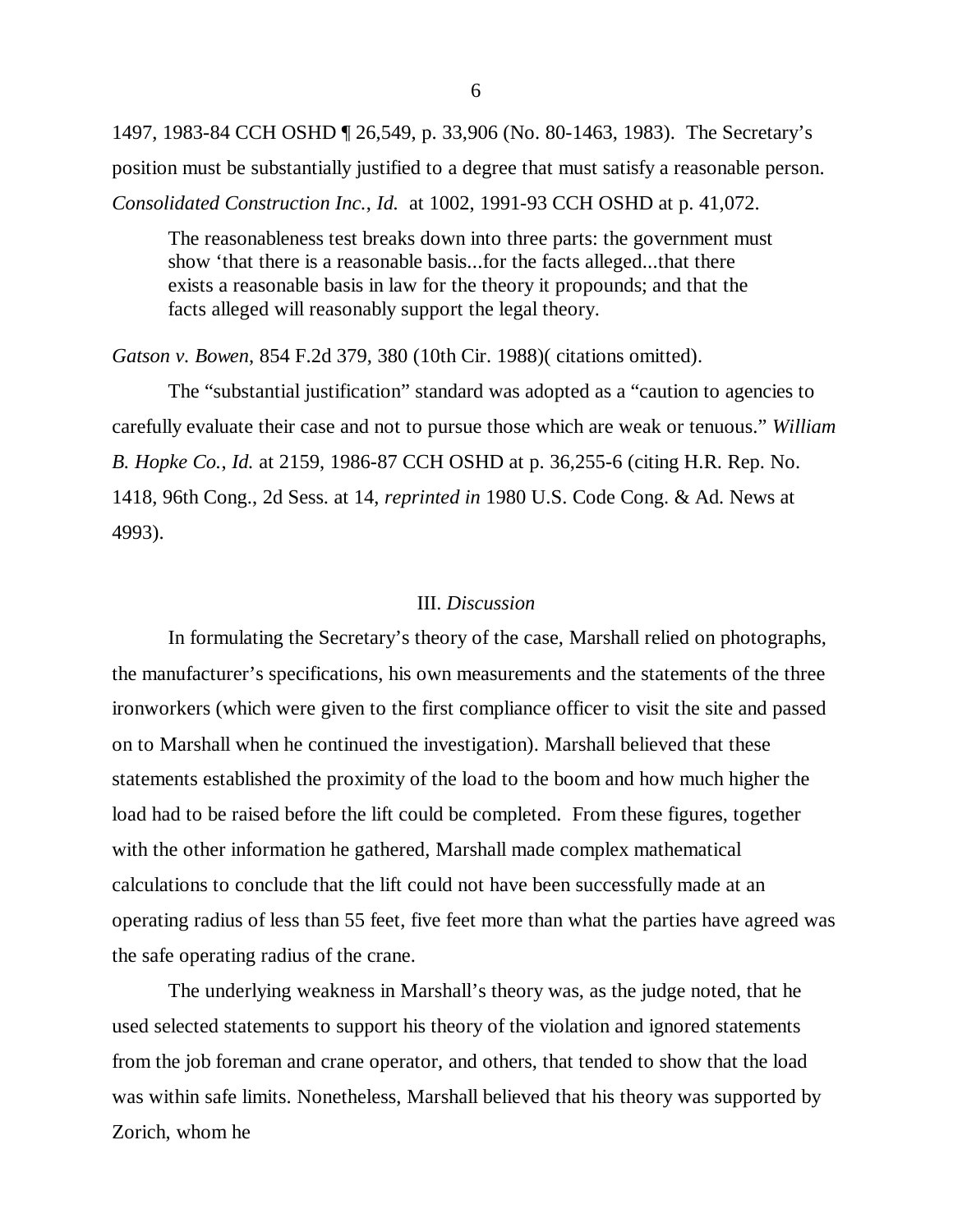1497, 1983-84 CCH OSHD ¶ 26,549, p. 33,906 (No. 80-1463, 1983). The Secretary's position must be substantially justified to a degree that must satisfy a reasonable person. *Consolidated Construction Inc.*, *Id.* at 1002, 1991-93 CCH OSHD at p. 41,072.

The reasonableness test breaks down into three parts: the government must show 'that there is a reasonable basis...for the facts alleged...that there exists a reasonable basis in law for the theory it propounds; and that the facts alleged will reasonably support the legal theory.

*Gatson v. Bowen*, 854 F.2d 379, 380 (10th Cir. 1988)( citations omitted).

The "substantial justification" standard was adopted as a "caution to agencies to carefully evaluate their case and not to pursue those which are weak or tenuous." *William B. Hopke Co.*, *Id.* at 2159, 1986-87 CCH OSHD at p. 36,255-6 (citing H.R. Rep. No. 1418, 96th Cong., 2d Sess. at 14, *reprinted in* 1980 U.S. Code Cong. & Ad. News at 4993).

### III. *Discussion*

In formulating the Secretary's theory of the case, Marshall relied on photographs, the manufacturer's specifications, his own measurements and the statements of the three ironworkers (which were given to the first compliance officer to visit the site and passed on to Marshall when he continued the investigation). Marshall believed that these statements established the proximity of the load to the boom and how much higher the load had to be raised before the lift could be completed. From these figures, together with the other information he gathered, Marshall made complex mathematical calculations to conclude that the lift could not have been successfully made at an operating radius of less than 55 feet, five feet more than what the parties have agreed was the safe operating radius of the crane.

The underlying weakness in Marshall's theory was, as the judge noted, that he used selected statements to support his theory of the violation and ignored statements from the job foreman and crane operator, and others, that tended to show that the load was within safe limits. Nonetheless, Marshall believed that his theory was supported by Zorich, whom he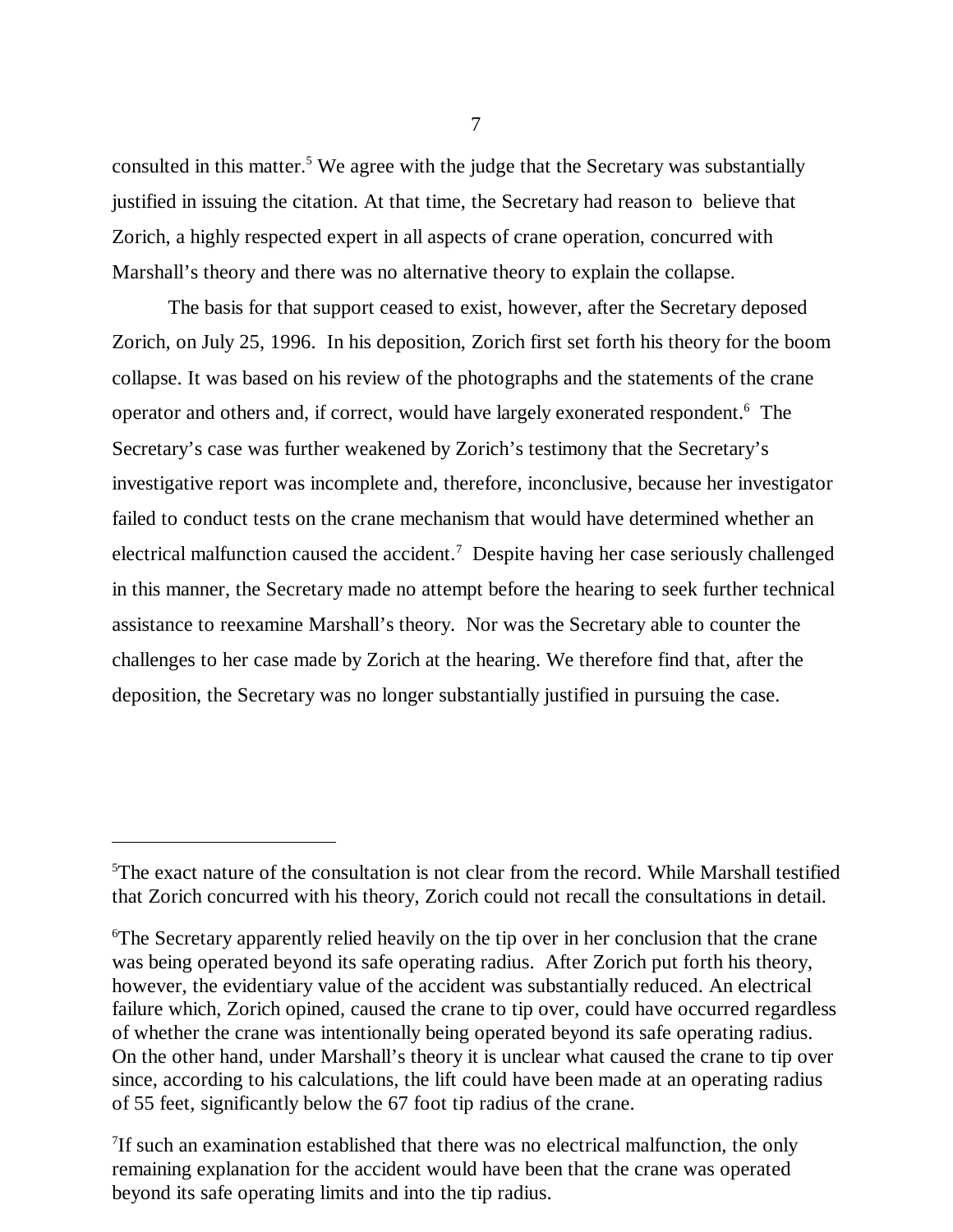consulted in this matter.<sup>5</sup> We agree with the judge that the Secretary was substantially justified in issuing the citation. At that time, the Secretary had reason to believe that Zorich, a highly respected expert in all aspects of crane operation, concurred with Marshall's theory and there was no alternative theory to explain the collapse.

The basis for that support ceased to exist, however, after the Secretary deposed Zorich, on July 25, 1996. In his deposition, Zorich first set forth his theory for the boom collapse. It was based on his review of the photographs and the statements of the crane operator and others and, if correct, would have largely exonerated respondent.<sup>6</sup> The Secretary's case was further weakened by Zorich's testimony that the Secretary's investigative report was incomplete and, therefore, inconclusive, because her investigator failed to conduct tests on the crane mechanism that would have determined whether an electrical malfunction caused the accident.<sup>7</sup> Despite having her case seriously challenged in this manner, the Secretary made no attempt before the hearing to seek further technical assistance to reexamine Marshall's theory. Nor was the Secretary able to counter the challenges to her case made by Zorich at the hearing. We therefore find that, after the deposition, the Secretary was no longer substantially justified in pursuing the case.

7

<sup>&</sup>lt;sup>5</sup>The exact nature of the consultation is not clear from the record. While Marshall testified that Zorich concurred with his theory, Zorich could not recall the consultations in detail.

<sup>6</sup>The Secretary apparently relied heavily on the tip over in her conclusion that the crane was being operated beyond its safe operating radius. After Zorich put forth his theory, however, the evidentiary value of the accident was substantially reduced. An electrical failure which, Zorich opined, caused the crane to tip over, could have occurred regardless of whether the crane was intentionally being operated beyond its safe operating radius. On the other hand, under Marshall's theory it is unclear what caused the crane to tip over since, according to his calculations, the lift could have been made at an operating radius of 55 feet, significantly below the 67 foot tip radius of the crane.

<sup>&</sup>lt;sup>7</sup>If such an examination established that there was no electrical malfunction, the only remaining explanation for the accident would have been that the crane was operated beyond its safe operating limits and into the tip radius.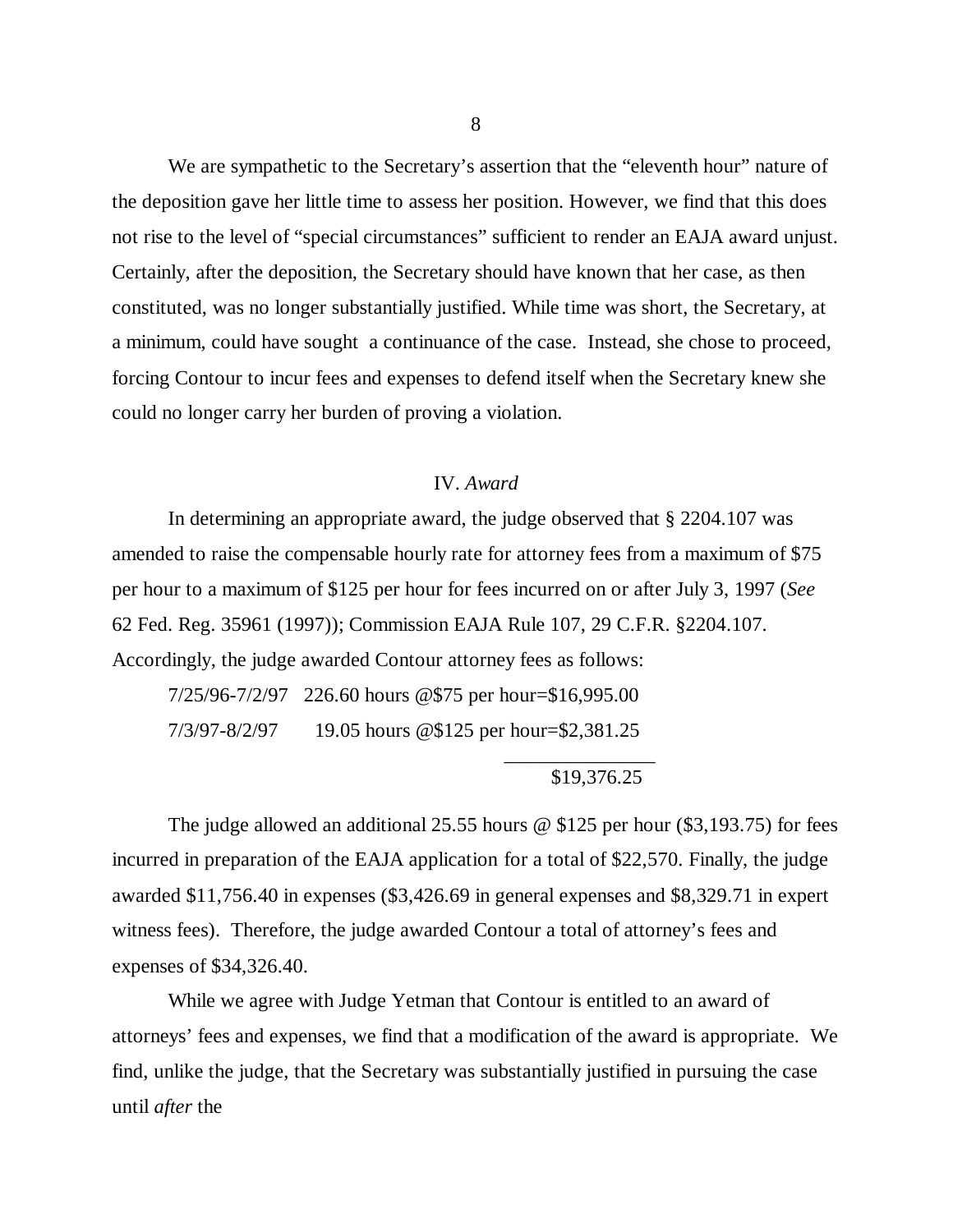We are sympathetic to the Secretary's assertion that the "eleventh hour" nature of the deposition gave her little time to assess her position. However, we find that this does not rise to the level of "special circumstances" sufficient to render an EAJA award unjust. Certainly, after the deposition, the Secretary should have known that her case, as then constituted, was no longer substantially justified. While time was short, the Secretary, at a minimum, could have sought a continuance of the case. Instead, she chose to proceed, forcing Contour to incur fees and expenses to defend itself when the Secretary knew she could no longer carry her burden of proving a violation.

### IV. *Award*

In determining an appropriate award, the judge observed that § 2204.107 was amended to raise the compensable hourly rate for attorney fees from a maximum of \$75 per hour to a maximum of \$125 per hour for fees incurred on or after July 3, 1997 (*See* 62 Fed. Reg. 35961 (1997)); Commission EAJA Rule 107, 29 C.F.R. §2204.107. Accordingly, the judge awarded Contour attorney fees as follows:

7/25/96-7/2/97 226.60 hours @\$75 per hour=\$16,995.00 7/3/97-8/2/97 19.05 hours @\$125 per hour=\$2,381.25

\$19,376.25

\_\_\_\_\_\_\_\_\_\_\_\_\_\_\_

The judge allowed an additional 25.55 hours @ \$125 per hour (\$3,193.75) for fees incurred in preparation of the EAJA application for a total of \$22,570. Finally, the judge awarded \$11,756.40 in expenses (\$3,426.69 in general expenses and \$8,329.71 in expert witness fees). Therefore, the judge awarded Contour a total of attorney's fees and expenses of \$34,326.40.

While we agree with Judge Yetman that Contour is entitled to an award of attorneys' fees and expenses, we find that a modification of the award is appropriate. We find, unlike the judge, that the Secretary was substantially justified in pursuing the case until *after* the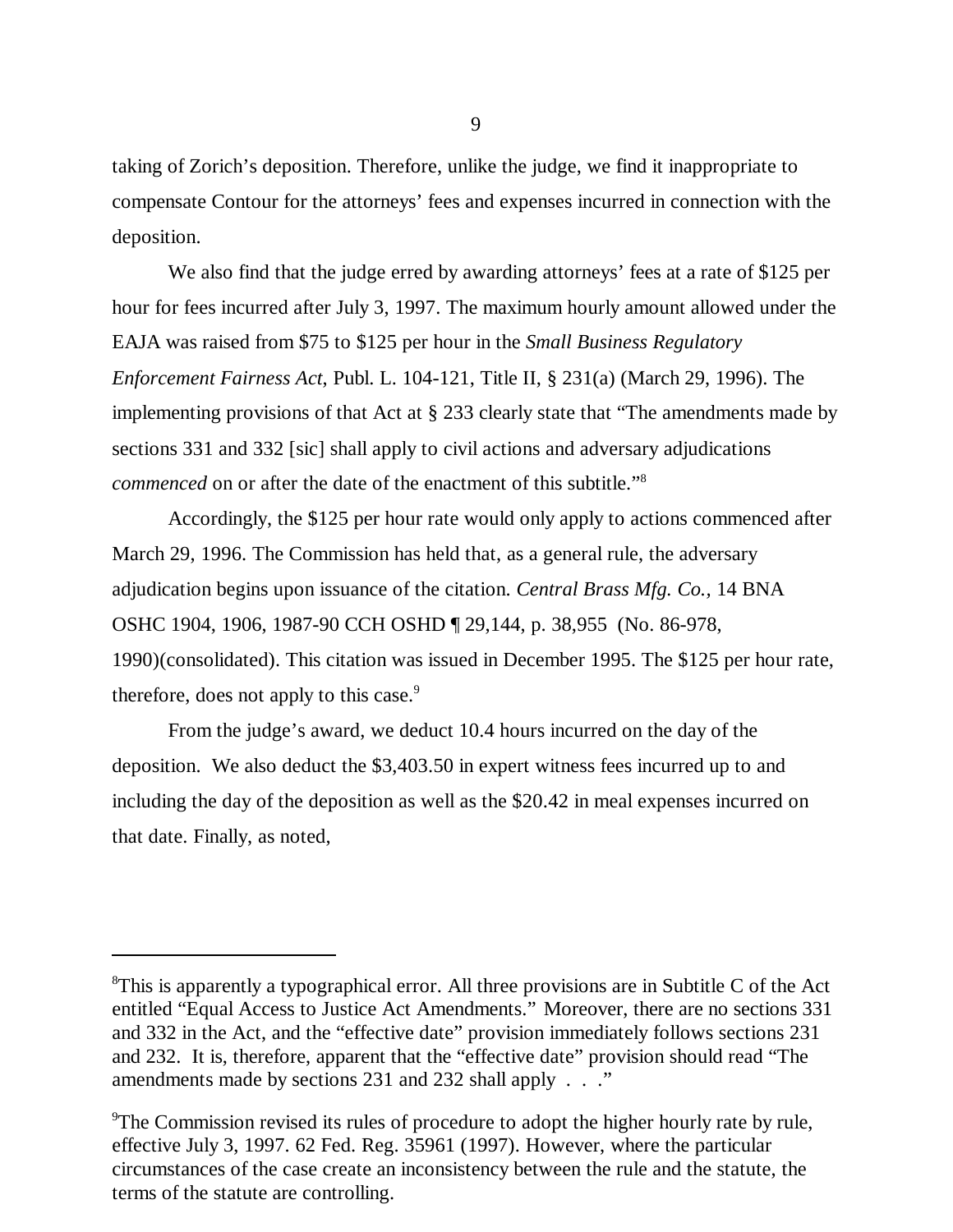taking of Zorich's deposition. Therefore, unlike the judge, we find it inappropriate to compensate Contour for the attorneys' fees and expenses incurred in connection with the deposition.

We also find that the judge erred by awarding attorneys' fees at a rate of \$125 per hour for fees incurred after July 3, 1997. The maximum hourly amount allowed under the EAJA was raised from \$75 to \$125 per hour in the *Small Business Regulatory Enforcement Fairness Act*, Publ. L. 104-121, Title II, § 231(a) (March 29, 1996). The implementing provisions of that Act at § 233 clearly state that "The amendments made by sections 331 and 332 [sic] shall apply to civil actions and adversary adjudications *commenced* on or after the date of the enactment of this subtitle." 8

Accordingly, the \$125 per hour rate would only apply to actions commenced after March 29, 1996. The Commission has held that, as a general rule, the adversary adjudication begins upon issuance of the citation. *Central Brass Mfg. Co.,* 14 BNA OSHC 1904, 1906, 1987-90 CCH OSHD ¶ 29,144, p. 38,955 (No. 86-978, 1990)(consolidated). This citation was issued in December 1995. The \$125 per hour rate, therefore, does not apply to this case.<sup>9</sup>

From the judge's award, we deduct 10.4 hours incurred on the day of the deposition. We also deduct the \$3,403.50 in expert witness fees incurred up to and including the day of the deposition as well as the \$20.42 in meal expenses incurred on that date. Finally, as noted,

<sup>&</sup>lt;sup>8</sup>This is apparently a typographical error. All three provisions are in Subtitle C of the Act entitled "Equal Access to Justice Act Amendments." Moreover, there are no sections 331 and 332 in the Act, and the "effective date" provision immediately follows sections 231 and 232. It is, therefore, apparent that the "effective date" provision should read "The amendments made by sections 231 and 232 shall apply . . ."

<sup>&</sup>lt;sup>9</sup>The Commission revised its rules of procedure to adopt the higher hourly rate by rule, effective July 3, 1997. 62 Fed. Reg. 35961 (1997). However, where the particular circumstances of the case create an inconsistency between the rule and the statute, the terms of the statute are controlling.